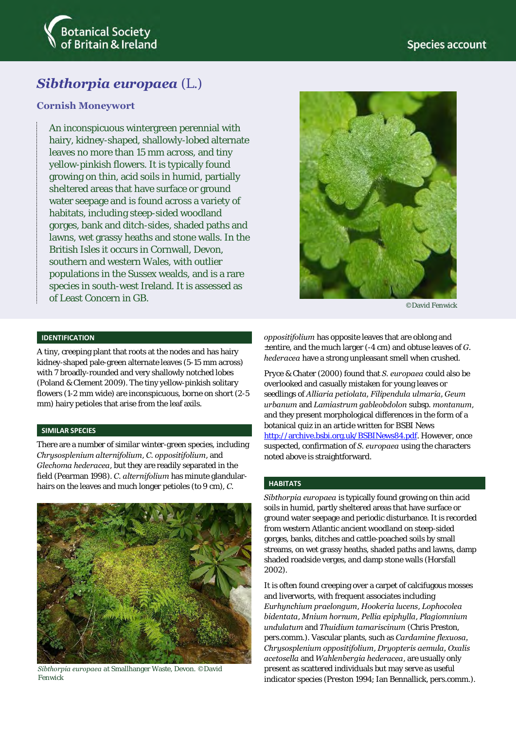

# *Sibthorpia europaea* (L.)

## **Cornish Moneywort**

An inconspicuous wintergreen perennial with hairy, kidney-shaped, shallowly-lobed alternate leaves no more than 15 mm across, and tiny yellow-pinkish flowers. It is typically found growing on thin, acid soils in humid, partially sheltered areas that have surface or ground water seepage and is found across a variety of habitats, including steep-sided woodland gorges, bank and ditch-sides, shaded paths and lawns, wet grassy heaths and stone walls. In the British Isles it occurs in Cornwall, Devon, southern and western Wales, with outlier populations in the Sussex wealds, and is a rare species in south-west Ireland. It is assessed as of Least Concern in GB.



©David Fenwick

## **IDENTIFICATION**

A tiny, creeping plant that roots at the nodes and has hairy kidney-shaped pale-green alternate leaves (5-15 mm across) with 7 broadly-rounded and very shallowly notched lobes (Poland & Clement 2009). The tiny yellow-pinkish solitary flowers (1-2 mm wide) are inconspicuous, borne on short (2-5 mm) hairy petioles that arise from the leaf axils.

#### **SIMILAR SPECIES**

There are a number of similar winter-green species, including *Chrysosplenium alternifolium*, *C. oppositifolium*, and *Glechoma hederacea*, but they are readily separated in the field (Pearman 1998). *C. alternifolium* has minute glandularhairs on the leaves and much longer petioles (to 9 cm), *C.*



*Sibthorpia europaea* at Smallhanger Waste, Devon. ©David Fenwick

*oppositifolium* has opposite leaves that are oblong and ±entire, and the much larger (-4 cm) and obtuse leaves of *G. hederacea* have a strong unpleasant smell when crushed.

Pryce & Chater (2000) found that *S. europaea* could also be overlooked and casually mistaken for young leaves or seedlings of *Alliaria petiolata, Filipendula ulmaria, Geum urbanum* and *Lamiastrum gableobdolon* subsp*. montanum*, and they present morphological differences in the form of a botanical quiz in an article written for BSBI News [http://archive.bsbi.org.uk/BSBINews84.pdf.](http://archive.bsbi.org.uk/BSBINews84.pdf) However, once suspected, confirmation of *S. europaea* using the characters noted above is straightforward.

## **HABITATS**

*Sibthorpia europaea* is typically found growing on thin acid soils in humid, partly sheltered areas that have surface or ground water seepage and periodic disturbance. It is recorded from western Atlantic ancient woodland on steep-sided gorges, banks, ditches and cattle-poached soils by small streams, on wet grassy heaths, shaded paths and lawns, damp shaded roadside verges, and damp stone walls (Horsfall 2002).

It is often found creeping over a carpet of calcifugous mosses and liverworts, with frequent associates including *Eurhynchium praelongum*, *Hookeria lucens*, *Lophocolea bidentata*, *Mnium hornum*, *Pellia epiphylla*, *Plagiomnium undulatum* and *Thuidium tamariscinum* (Chris Preston, pers.comm.). Vascular plants, such as *Cardamine flexuosa, Chrysosplenium oppositifolium*, *Dryopteris aemula, Oxalis acetosella* and *Wahlenbergia hederacea*, are usually only present as scattered individuals but may serve as useful indicator species (Preston 1994; Ian Bennallick, pers.comm.).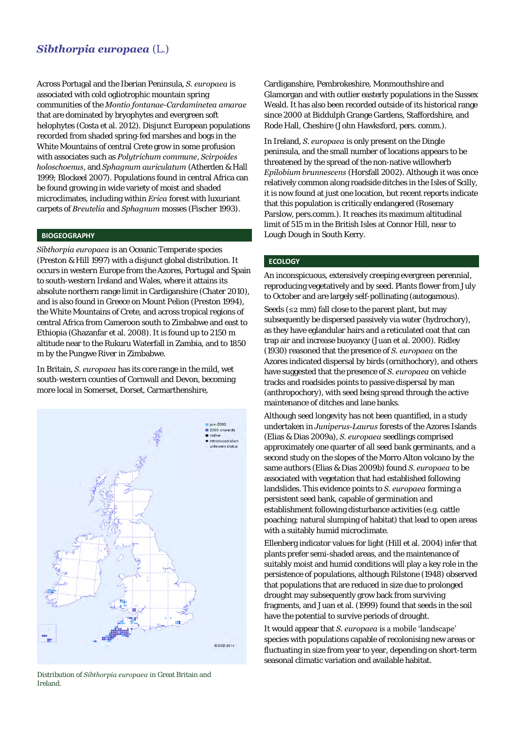## *Sibthorpia europaea* (L.)

Across Portugal and the Iberian Peninsula, *S. europaea* is associated with cold ogliotrophic mountain spring communities of the *Montio fontanae*-*Cardaminetea amarae* that are dominated by bryophytes and evergreen soft helophytes (Costa et al. 2012). Disjunct European populations recorded from shaded spring-fed marshes and bogs in the White Mountains of central Crete grow in some profusion with associates such as *Polytrichum commune*, *Scirpoides holoschoenus*, and *Sphagnum auriculatum* (Atherden & Hall 1999; Blockeel 2007). Populations found in central Africa can be found growing in wide variety of moist and shaded microclimates, including within *Erica* forest with luxuriant carpets of *Breutelia* and *Sphagnum* mosses (Fischer 1993).

## **BIOGEOGRAPHY**

*Sibthorpia europaea* is an Oceanic Temperate species (Preston & Hill 1997) with a disjunct global distribution. It occurs in western Europe from the Azores, Portugal and Spain to south-western Ireland and Wales, where it attains its absolute northern range limit in Cardiganshire (Chater 2010), and is also found in Greece on Mount Pelion (Preston 1994), the White Mountains of Crete, and across tropical regions of central Africa from Cameroon south to Zimbabwe and east to Ethiopia (Ghazanfar et al. 2008). It is found up to 2150 m altitude near to the Rukuru Waterfall in Zambia, and to 1850 m by the Pungwe River in Zimbabwe.

In Britain, *S. europaea* has its core range in the mild, wet south-western counties of Cornwall and Devon, becoming more local in Somerset, Dorset, Carmarthenshire,



Distribution of *Sibthorpia europaea* in Great Britain and Ireland.

Cardiganshire, Pembrokeshire, Monmouthshire and Glamorgan and with outlier easterly populations in the Sussex Weald. It has also been recorded outside of its historical range since 2000 at Biddulph Grange Gardens, Staffordshire, and Rode Hall, Cheshire (John Hawksford, pers. comm.).

In Ireland, *S. europaea* is only present on the Dingle peninsula, and the small number of locations appears to be threatened by the spread of the non-native willowherb *Epilobium brunnescens* (Horsfall 2002). Although it was once relatively common along roadside ditches in the Isles of Scilly, it is now found at just one location, but recent reports indicate that this population is critically endangered (Rosemary Parslow, pers.comm.). It reaches its maximum altitudinal limit of 515 m in the British Isles at Connor Hill, near to Lough Dough in South Kerry.

## **ECOLOGY**

An inconspicuous, extensively creeping evergreen perennial, reproducing vegetatively and by seed. Plants flower from July to October and are largely self-pollinating (autogamous).

Seeds (≤2 mm) fall close to the parent plant, but may subsequently be dispersed passively via water (hydrochory), as they have eglandular hairs and a reticulated coat that can trap air and increase buoyancy (Juan et al. 2000). Ridley (1930) reasoned that the presence of *S. europaea* on the Azores indicated dispersal by birds (ornithochory), and others have suggested that the presence of *S. europaea* on vehicle tracks and roadsides points to passive dispersal by man (anthropochory), with seed being spread through the active maintenance of ditches and lane banks.

Although seed longevity has not been quantified, in a study undertaken in *Juniperus-Laurus* forests of the Azores Islands (Elias & Dias 2009a), *S. europaea* seedlings comprised approximately one quarter of all seed bank germinants, and a second study on the slopes of the Morro Alton volcano by the same authors (Elias & Dias 2009b) found *S. europaea* to be associated with vegetation that had established following landslides. This evidence points to *S. europaea* forming a persistent seed bank, capable of germination and establishment following disturbance activities (e.g. cattle poaching; natural slumping of habitat) that lead to open areas with a suitably humid microclimate.

Ellenberg indicator values for light (Hill et al. 2004) infer that plants prefer semi-shaded areas, and the maintenance of suitably moist and humid conditions will play a key role in the persistence of populations, although Rilstone (1948) observed that populations that are reduced in size due to prolonged drought may subsequently grow back from surviving fragments, and Juan et al. (1999) found that seeds in the soil have the potential to survive periods of drought.

It would appear that *S. europaea* is a mobile 'landscape' species with populations capable of recolonising new areas or fluctuating in size from year to year, depending on short-term seasonal climatic variation and available habitat.